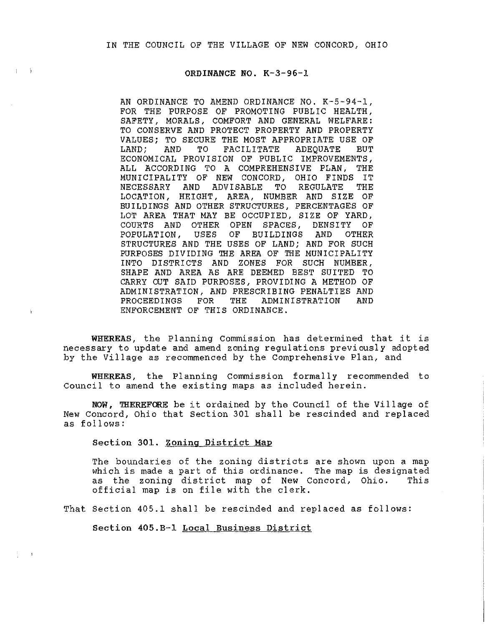## ORDINANCE NO. K-3-96-1

 $\left| \cdot \right|$ 

AN ORDINANCE TO AMEND ORDINANCE NO. K-5-94-1, FOR THE PURPOSE OF PROMOTING PUBLIC HEALTH, SAFETY, MORALS, COMFORT AND GENERAL WELFARE: TO CONSERVE AND PROTECT PROPERTY AND PROPERTY VALUES; TO SECURE THE MOST APPROPRIATE USE OF<br>LAND; AND TO FACILITATE ADEOUATE BUT  $FACTI$ TATE ECONOMICAL PROVISION OF PUBLIC IMPROVEMENTS, ALL ACCORDING TO A COMPREHENSIVE PLAN, THE MUNICIPALITY OF NEW CONCORD, OHIO FINDS IT<br>NECESSARY AND ADVISABLE TO REGULATE THE AND ADVISABLE LOCATION, HEIGHT, AREA, NUMBER AND SIZE OF BUILDINGS AND OTHER STRUCTURES, PERCENTAGES OF LOT AREA THAT MAY BE OCCUPIED, SIZE OF YARD, COURTS AND OTHER OPEN SPACES, DENSITY OF<br>POPULATION, USES OF BUILDINGS AND OTHER POPULATION, USES OF STRUCTURES AND THE USES OF LAND; AND FOR SUCH PURPOSES DIVIDING THE AREA OF THE MUNICIPALITY INTO DISTRICTS AND ZONES FOR SUCH NUMBER, SHAPE AND AREA AS ARE DEEMED BEST SUITED TO CARRY OUT SAID PURPOSES, PROVIDING A METHOD OF ADMINISTRATION, AND PRESCRIBING PENALTIES AND PROCEEDINGS FOR THE ADMINISTRATION AND ADMINISTRATION ENFORCEMENT OF THIS ORDINANCE.

WHEREAS, the Planning Commission has determined that it is necessary to update and amend zoning regulations previously adopted by the Village as recommenced by the Comprehensive Plan, and

WHEREAS, the Planning Commission formally recommended to Council to amend the existing maps as included herein.

NOW, THEREFORE be it ordained by the Council of the Vi 11 age of New Concord, Ohio that Section 301 shall be rescinded and replaced as follows:

Section 301. Zoning District Map

The boundaries of the zoning districts are shown upon a map which is made a part of this ordinance. The map is designated<br>as the zoning district map of New Concord, Ohio. This as the zoning district map of New Concord, Ohio. official map is on file with the clerk.

That Section 405.l shall be rescinded and replaced as follows:

Section 405.B-1 Local Business District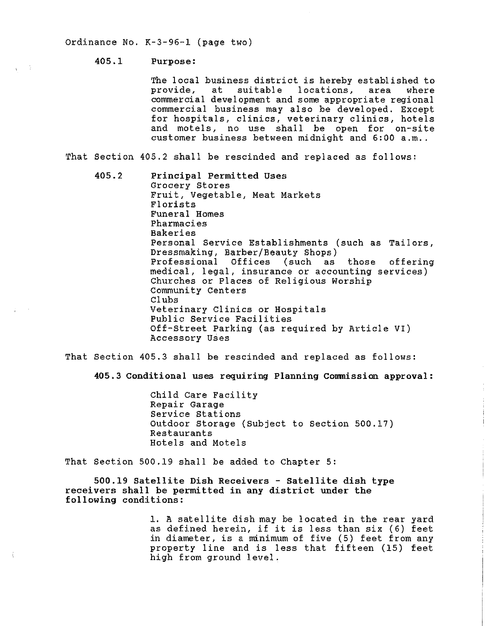Ordinance No. K-3-96-1 (page two)

## 405.1 Purpose:

 $\mathbf{r} = \mathbf{r} \mathbf{r}$ 

The local business district is hereby established to<br>provide, at suitable locations, area where provide, at suitable locations, area commercial development and some appropriate regional commercial business may also be developed. Except for hospitals, clinics, veterinary clinics, hotels and motels, no use shall be open for on-site customer business between midnight and 6:00 a.m..

That Section 405.2 shall be rescinded and replaced as follows:

405.2 Principal Permitted Uses Grocery Stores Fruit, Vegetable, Meat Markets Florists Funeral Homes Pharmacies Bakeries Personal Service Establishments (such as Tailors, Dressmaking, Barber/Beauty Shops)<br>Professional Offices (such as those Professional Offices (such as those offering medical, legal, insurance or accounting services) Churches or Places of Religious Worship Community Centers Clubs Veterinary Clinics or Hospitals Public Service Facilities Off-Street Parking (as required by Article VI) Accessory Uses

That Section 405.3 shall be rescinded and replaced as follows:

405.3 Conditional uses requiring Planning Comnission approval:

Child Care Facility Repair Garage Service Stations Outdoor Storage (Subject to Section 500.17) Restaurants Hotels and Motels

That Section 500.19 shall be added to Chapter 5:

500.19 Satellite Dish Receivers - Satellite dish type receivers shall be permitted in any district under the following conditions:

> 1. A satellite dish may be located in the rear yard as defined herein, if it is less than six (6) feet in diameter, is a minimum of five (5) feet from any property line and is less that fifteen (15) feet high from ground level.